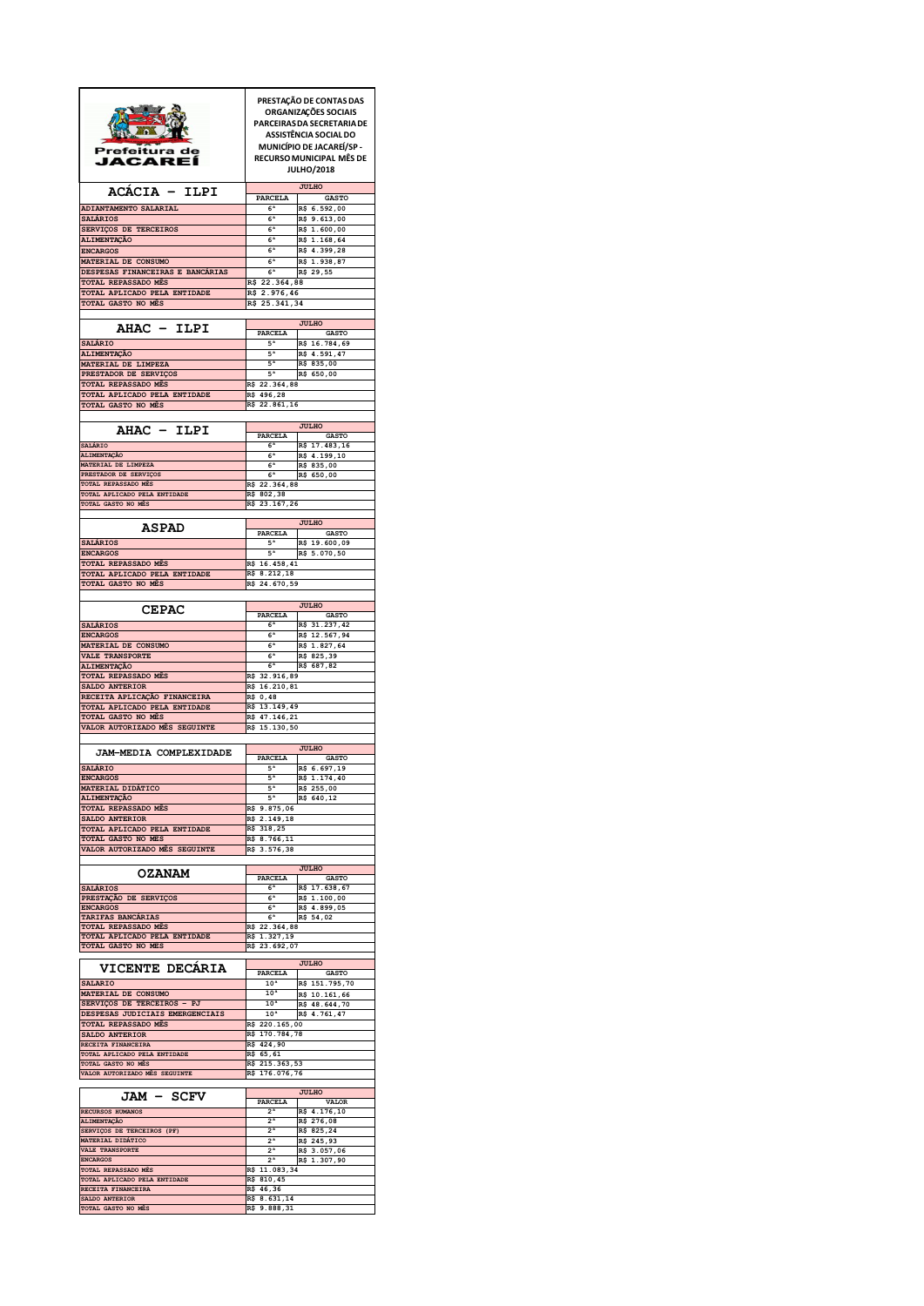|                                                     |                                  | PRESTAÇÃO DE CONTAS DAS                       |
|-----------------------------------------------------|----------------------------------|-----------------------------------------------|
|                                                     |                                  | ORGANIZAÇÕES SOCIAIS                          |
|                                                     |                                  | PARCEIRAS DA SECRETARIA DE                    |
|                                                     |                                  | ASSISTÊNCIA SOCIAL DO                         |
| Prefeitura de                                       |                                  | <b>MUNICÍPIO DE JACAREÍ/SP-</b>               |
| JACAREI                                             |                                  | RECURSO MUNICIPAL MÊS DE<br><b>JULHO/2018</b> |
|                                                     |                                  |                                               |
| ACACIA -<br>ILPI                                    | PARCELA                          | <b>JULHO</b><br><b>GASTO</b>                  |
| ADIANTAMENTO SALARIAL                               | 6 <sup>a</sup>                   | R\$ 6.592,00                                  |
| <b>SALÁRIOS</b>                                     | 6 <sup>a</sup>                   | R\$ 9.613,00                                  |
| SERVIÇOS DE TERCEIROS<br><b>ALIMENTAÇÃO</b>         | 6ª<br>6ª                         | R\$ 1.600,00<br>R\$ 1.168,64                  |
| <b>ENCARGOS</b>                                     | 6 <sup>a</sup>                   | R\$ 4.399,28                                  |
| MATERIAL DE CONSUMO                                 | 6 <sup>a</sup>                   | R\$ 1.938,87                                  |
| DESPESAS FINANCEIRAS E BANCARIAS                    | 6ª                               | R\$ 29,55                                     |
| TOTAL REPASSADO MÊS<br>TOTAL APLICADO PELA ENTIDADE | R\$ 22.364,88<br>R\$ 2.976,46    |                                               |
| TOTAL GASTO NO MÊS                                  | R\$ 25.341,34                    |                                               |
| AHAC - ILPI                                         |                                  | <b>JULHO</b>                                  |
| SALÁRIO                                             | PARCELA<br>5ª                    | <b>GASTO</b><br>R\$ 16.784,69                 |
| ALIMENTAÇÃO                                         | 5ª                               | R\$ 4.591,47                                  |
| MATERIAL DE LIMPEZA                                 | 5 <sup>a</sup>                   | R\$ 835,00                                    |
| PRESTADOR DE SERVIÇOS                               | 5ª                               | R\$ 650,00                                    |
| TOTAL REPASSADO MÊS<br>TOTAL APLICADO PELA ENTIDADE | R\$ 22.364,88<br>R\$ 496,28      |                                               |
| TOTAL GASTO NO MÊS                                  | R\$ 22.861,16                    |                                               |
|                                                     |                                  |                                               |
| <b>AHAC - ILPI</b>                                  |                                  | <b>JULHO</b>                                  |
| SALÁRIO                                             | <b>PARCELA</b><br>6 <sup>a</sup> | <b>GASTO</b><br>R\$ 17.483,16                 |
| ALIMENTAÇÃO                                         | 6 <sup>a</sup>                   | R\$ 4.199,10                                  |
| MATERIAL DE LIMPEZA                                 | 6 <sup>a</sup>                   | R\$ 835,00                                    |
| PRESTADOR DE SERVIÇOS<br>TOTAL REPASSADO MÊS        | 6 <sup>a</sup><br>R\$ 22.364,88  | R\$ 650,00                                    |
| TOTAL APLICADO PELA ENTIDADE                        | R\$ 802,38                       |                                               |
| TOTAL GASTO NO MÊS                                  | R\$ 23.167,26                    |                                               |
|                                                     |                                  | <b>JULHO</b>                                  |
| <b>ASPAD</b>                                        | PARCELA                          | <b>GASTO</b>                                  |
| <b>SALÁRIOS</b>                                     | 5 <sup>a</sup>                   | R\$ 19.600,09                                 |
| <b>ENCARGOS</b>                                     | 5ª                               | R\$ 5.070,50                                  |
| TOTAL REPASSADO MÊS<br>TOTAL APLICADO PELA ENTIDADE | R\$ 16.458,41<br>R\$ 8.212,18    |                                               |
| TOTAL GASTO NO MÊS                                  | R\$ 24.670,59                    |                                               |
|                                                     |                                  |                                               |
| <b>CEPAC</b>                                        | <b>PARCELA</b>                   | <b>JULHO</b><br><b>GASTO</b>                  |
| <b>SALÁRIOS</b>                                     | 6 <sup>a</sup>                   | R\$ 31.237,42                                 |
| <b>ENCARGOS</b>                                     | 6 <sup>a</sup>                   | R\$ 12.567,94                                 |
| MATERIAL DE CONSUMO                                 | 6 <sup>a</sup>                   | R\$ 1.827,64                                  |
| VALE TRANSPORTE<br><b>ALIMENTAÇÃO</b>               | 6 <sup>a</sup><br>6 <sup>a</sup> | R\$ 825,39<br>R\$ 687,82                      |
| TOTAL REPASSADO MÉS                                 | R\$ 32.916,89                    |                                               |
| SALDO ANTERIOR                                      | R\$ 16.210,81                    |                                               |
| RECEITA APLICAÇÃO FINANCEIRA                        | R\$ 0,48                         |                                               |
| TOTAL APLICADO PELA ENTIDADE<br>TOTAL GASTO NO MÊS  | R\$ 13.149,49<br>R\$ 47.146,21   |                                               |
| VALOR AUTORIZADO MÊS SEGUINTE                       | R\$ 15.130,50                    |                                               |
|                                                     |                                  |                                               |
| <b>JAM-MEDIA COMPLEXIDADE</b>                       | PARCELA                          | <b>JULHO</b><br><b>GASTO</b>                  |
| <b>SALÁRIO</b>                                      | 5ª                               | R\$ 6.697,19                                  |
| <b>ENCARGOS</b>                                     | 5ª                               | R\$ 1.174,40                                  |
| <b>MATERIAL DIDATICO</b><br>ALIMENTAÇÃO             | 5ª<br>5 <sup>a</sup>             | R\$ 255,00                                    |
| TOTAL REPASSADO MÊS                                 |                                  |                                               |
|                                                     | R\$ 9.875,06                     | R\$ 640,12                                    |
| SALDO ANTERIOR                                      | R\$ 2.149,18                     |                                               |
| TOTAL APLICADO PELA ENTIDADE                        | R\$ 318,25                       |                                               |
| TOTAL GASTO NO MÊS                                  | R\$ 8.766,11                     |                                               |
| VALOR AUTORIZADO MÊS SEGUINTE                       | R\$ 3.576,38                     |                                               |
|                                                     |                                  | <b>JULHO</b>                                  |
| <b>OZANAM</b>                                       | PARCELA                          | <b>GASTO</b>                                  |
| <b>SALÁRIOS</b>                                     | 6 <sup>a</sup>                   | R\$ 17.638,67                                 |
| PRESTAÇÃO DE SERVIÇOS<br><b>ENCARGOS</b>            | 6 <sup>a</sup><br>6 <sup>a</sup> | R\$ 1.100,00<br>R\$ 4.899,05                  |
| TARIFAS BANCÁRIAS                                   | 6 <sup>a</sup>                   | R\$ 54,02                                     |
| TOTAL REPASSADO MÊS                                 | R\$ 22.364,88                    |                                               |
| TOTAL APLICADO PELA ENTIDADE<br>TOTAL GASTO NO MÊS  | R\$ 1.327,19                     |                                               |
|                                                     | R\$ 23.692,07                    |                                               |
| <b>VICENTE DECARIA</b>                              |                                  | <b>JULHO</b>                                  |
| <b>SALARIO</b>                                      | PARCELA<br>10 <sup>a</sup>       | GASTO<br>R\$ 151.795,70                       |
| MATERIAL DE CONSUMO                                 | 10 <sup>a</sup>                  | R\$ 10.161,66                                 |
| SERVIÇOS DE TERCEIROS - PJ                          | 10 <sup>a</sup>                  | R\$ 48.644,70                                 |
| DESPESAS JUDICIAIS EMERGENCIAIS                     | 10 <sup>a</sup>                  | R\$ 4.761,47                                  |
| TOTAL REPASSADO MÊS<br>SALDO ANTERIOR               | R\$ 220.165,00<br>R\$ 170.784,78 |                                               |
| RECEITA FINANCEIRA                                  | R\$ 424,90                       |                                               |
| TOTAL APLICADO PELA ENTIDADE                        | R\$ 65,61                        |                                               |
| TOTAL GASTO NO MÊS                                  | R\$ 215.363,53                   |                                               |
| VALOR AUTORIZADO MÊS SEGUINTE                       | R\$ 176.076,76                   |                                               |
|                                                     |                                  | <b>JULHO</b>                                  |
| JAM -<br><b>SCFV</b>                                | PARCELA<br>2 <sup>a</sup>        | VALOR                                         |
| RECURSOS HUMANOS<br>ALIMENTAÇÃO                     | 2 <sup>a</sup>                   | R\$ 4.176,10<br>R\$ 276,08                    |
| SERVIÇOS DE TERCEIROS (PF)                          | 2 <sup>a</sup>                   | R\$ 825,24                                    |
| <b>MATERIAL DIDÁTICO</b>                            | 2 <sup>a</sup>                   | R\$ 245,93                                    |
| VALE TRANSPORTE<br><b>ENCARGOS</b>                  | 2 <sup>a</sup><br>2 <sup>a</sup> | R\$ 3.057,06<br>R\$ 1.307,90                  |
| TOTAL REPASSADO MÊS                                 | R\$ 11.083,34                    |                                               |
| TOTAL APLICADO PELA ENTIDADE                        | R\$ 810,45                       |                                               |
| RECEITA FINANCEIRA<br>SALDO ANTERIOR                | R\$ 46,36<br>R\$ 8.631,14        |                                               |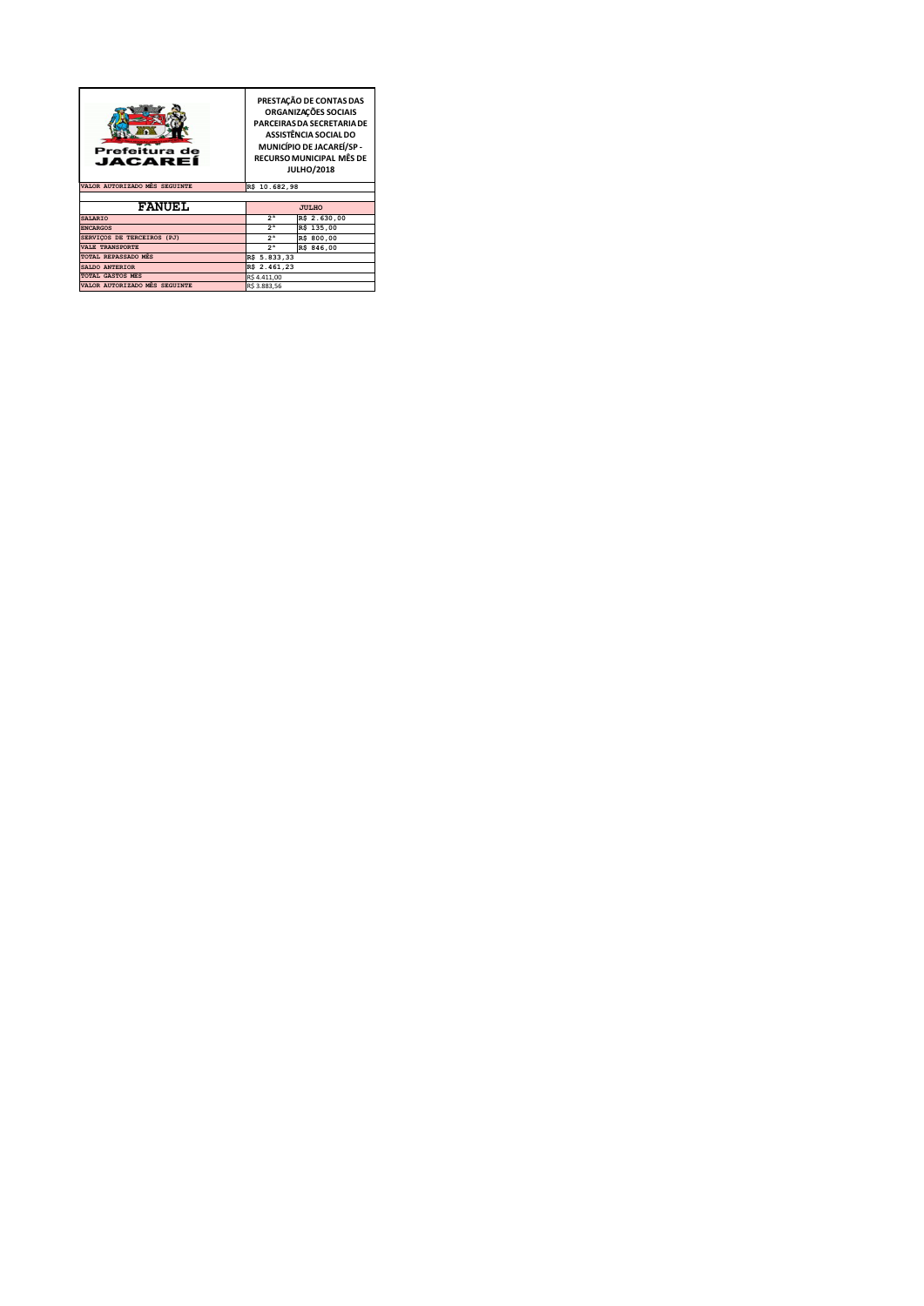| Prefeitura de<br>JACAREÍ      | PRESTAÇÃO DE CONTAS DAS<br>ORGANIZAÇÕES SOCIAIS<br>PARCEIRAS DA SECRETARIA DE<br>ASSISTÊNCIA SOCIAL DO<br>MUNICÍPIO DE JACAREÍ/SP -<br>RECURSO MUNICIPAL MÊS DE<br><b>JULHO/2018</b> |              |  |
|-------------------------------|--------------------------------------------------------------------------------------------------------------------------------------------------------------------------------------|--------------|--|
| VALOR AUTORIZADO MÉS SEGUINTE | R\$ 10.682,98                                                                                                                                                                        |              |  |
|                               |                                                                                                                                                                                      |              |  |
| <b>FANUEL</b>                 | <b>JULHO</b>                                                                                                                                                                         |              |  |
| <b>SALARIO</b>                | 2 <sup>a</sup>                                                                                                                                                                       | R\$ 2.630,00 |  |
| <b>ENCARGOS</b>               | 2 <sup>a</sup>                                                                                                                                                                       | R\$ 135,00   |  |
| SERVIÇOS DE TERCEIROS (PJ)    | 2 <sup>a</sup>                                                                                                                                                                       | R\$ 800,00   |  |
| <b>VALE TRANSPORTE</b>        | 2 <sup>a</sup>                                                                                                                                                                       | R\$ 846,00   |  |
| TOTAL REPASSADO MÉS           | R\$ 5.833,33                                                                                                                                                                         |              |  |
| SALDO ANTERIOR                | R\$ 2.461,23                                                                                                                                                                         |              |  |
| <b>TOTAL GASTOS MÉS</b>       | R\$4.411,00                                                                                                                                                                          |              |  |
| VALOR AUTORIZADO MÉS SEGUINTE | R\$ 3.883,56                                                                                                                                                                         |              |  |